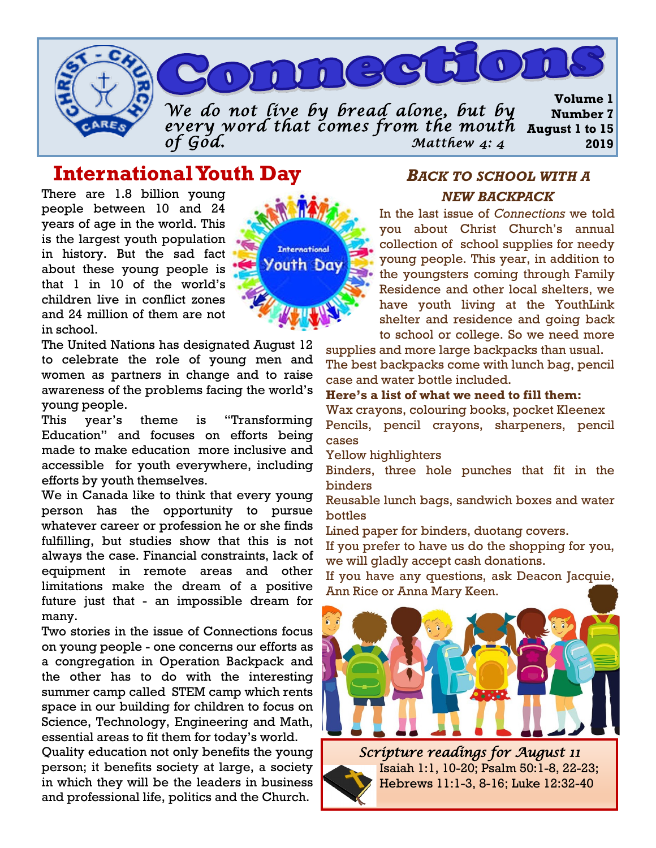

# **International Youth Day**

There are 1.8 billion young people between 10 and 24 years of age in the world. This is the largest youth population in history. But the sad fact about these young people is that 1 in 10 of the world's children live in conflict zones and 24 million of them are not in school.

The United Nations has designated August 12 to celebrate the role of young men and women as partners in change and to raise awareness of the problems facing the world's young people.

This year's theme is "Transforming Education" and focuses on efforts being made to make education more inclusive and accessible for youth everywhere, including efforts by youth themselves.

We in Canada like to think that every young person has the opportunity to pursue whatever career or profession he or she finds fulfilling, but studies show that this is not always the case. Financial constraints, lack of equipment in remote areas and other limitations make the dream of a positive future just that - an impossible dream for many.

Two stories in the issue of Connections focus on young people - one concerns our efforts as a congregation in Operation Backpack and the other has to do with the interesting summer camp called STEM camp which rents space in our building for children to focus on Science, Technology, Engineering and Math, essential areas to fit them for today's world.

Quality education not only benefits the young person; it benefits society at large, a society in which they will be the leaders in business and professional life, politics and the Church.



## *BACK TO SCHOOL WITH A NEW BACKPACK*

In the last issue of *Connections* we told you about Christ Church's annual collection of school supplies for needy young people. This year, in addition to the youngsters coming through Family Residence and other local shelters, we have youth living at the YouthLink shelter and residence and going back to school or college. So we need more

supplies and more large backpacks than usual. The best backpacks come with lunch bag, pencil case and water bottle included.

#### **Here's a list of what we need to fill them:**

Wax crayons, colouring books, pocket Kleenex Pencils, pencil crayons, sharpeners, pencil cases

Yellow highlighters

Binders, three hole punches that fit in the binders

Reusable lunch bags, sandwich boxes and water bottles

Lined paper for binders, duotang covers.

If you prefer to have us do the shopping for you, we will gladly accept cash donations.

If you have any questions, ask Deacon Jacquie, Ann Rice or Anna Mary Keen.



*Scripture readings for August 11*  Isaiah 1:1, 10-20; Psalm 50:1-8, 22-23; Hebrews 11:1-3, 8-16; Luke 12:32-40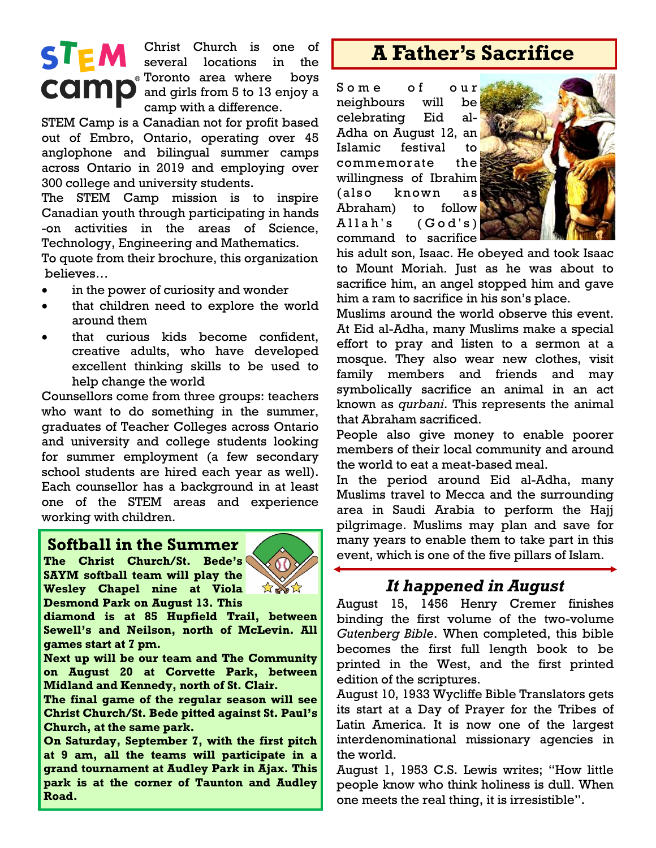# **STEM**

Christ Church is one of several locations in the Toronto area where boys **COMP** and girls from 5 to 13 enjoy a camp with a difference.

STEM Camp is a Canadian not for profit based out of Embro, Ontario, operating over 45 anglophone and bilingual summer camps across Ontario in 2019 and employing over 300 college and university students.

The STEM Camp mission is to inspire Canadian youth through participating in hands -on activities in the areas of Science, Technology, Engineering and Mathematics.

To quote from their brochure, this organization believes…

- in the power of curiosity and wonder
- that children need to explore the world around them
- that curious kids become confident, creative adults, who have developed excellent thinking skills to be used to help change the world

Counsellors come from three groups: teachers who want to do something in the summer, graduates of Teacher Colleges across Ontario and university and college students looking for summer employment (a few secondary school students are hired each year as well). Each counsellor has a background in at least one of the STEM areas and experience working with children.

#### **Softball in the Summer**

**The Christ Church/St. Bede's SAYM softball team will play the Wesley Chapel nine at Viola Desmond Park on August 13. This** 



**diamond is at 85 Hupfield Trail, between Sewell's and Neilson, north of McLevin. All games start at 7 pm.**

**Next up will be our team and The Community on August 20 at Corvette Park, between Midland and Kennedy, north of St. Clair.** 

**The final game of the regular season will see Christ Church/St. Bede pitted against St. Paul's Church, at the same park.**

**On Saturday, September 7, with the first pitch at 9 am, all the teams will participate in a grand tournament at Audley Park in Ajax. This park is at the corner of Taunton and Audley Road.**

# **A Father's Sacrifice**

Some of our neighbours will be celebrating Eid al-Adha on August 12, an Islamic festival to commemorate the willingness of Ibrahim (also known as Abraham) to follow  $Allah's$   $(God's)$ command to sacrifice



his adult son, Isaac. He obeyed and took Isaac to Mount Moriah. Just as he was about to sacrifice him, an angel stopped him and gave him a ram to sacrifice in his son's place.

Muslims around the world observe this event. At Eid al-Adha, many Muslims make a special effort to pray and listen to a sermon at a mosque. They also wear new clothes, visit family members and friends and may symbolically sacrifice an animal in an act known as *qurbani*. This represents the animal that Abraham sacrificed.

People also give money to enable poorer members of their local community and around the world to eat a meat-based meal.

In the period around Eid al-Adha, many Muslims travel to Mecca and the surrounding area in Saudi Arabia to perform the Hajj pilgrimage. Muslims may plan and save for many years to enable them to take part in this event, which is one of the five pillars of Islam.

## *It happened in August*

August 15, 1456 Henry Cremer finishes binding the first volume of the two-volume *Gutenberg Bible*. When completed, this bible becomes the first full length book to be printed in the West, and the first printed edition of the scriptures.

August 10, 1933 Wycliffe Bible Translators gets its start at a Day of Prayer for the Tribes of Latin America. It is now one of the largest interdenominational missionary agencies in the world.

August 1, 1953 C.S. Lewis writes; "How little people know who think holiness is dull. When one meets the real thing, it is irresistible".